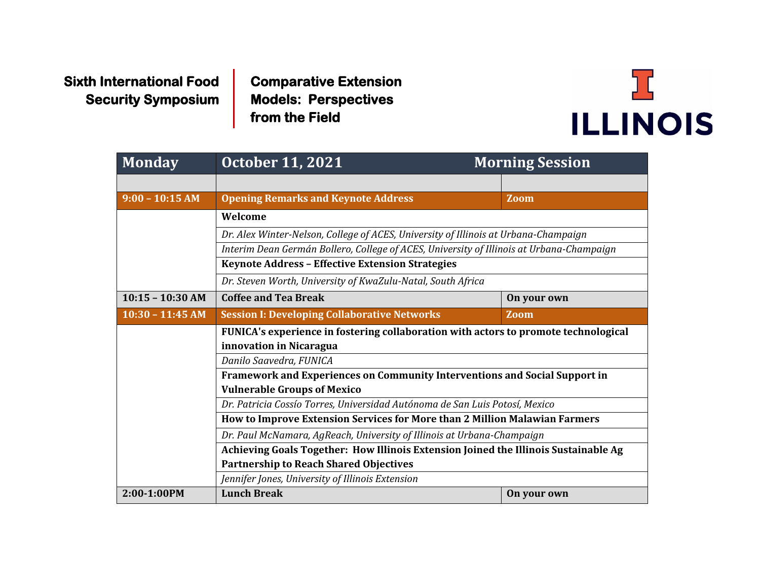**Sixth International Food Security Symposium**  **Comparative Extension Models: Perspectives from the Field** 



| <b>Monday</b>      | <b>October 11, 2021</b>                                                                                                                                                                                                             | <b>Morning Session</b> |             |  |  |
|--------------------|-------------------------------------------------------------------------------------------------------------------------------------------------------------------------------------------------------------------------------------|------------------------|-------------|--|--|
|                    |                                                                                                                                                                                                                                     |                        |             |  |  |
| $9:00 - 10:15 AM$  | <b>Opening Remarks and Keynote Address</b>                                                                                                                                                                                          |                        | Zoom        |  |  |
|                    | Welcome                                                                                                                                                                                                                             |                        |             |  |  |
|                    | Dr. Alex Winter-Nelson, College of ACES, University of Illinois at Urbana-Champaign<br>Interim Dean Germán Bollero, College of ACES, University of Illinois at Urbana-Champaign                                                     |                        |             |  |  |
|                    |                                                                                                                                                                                                                                     |                        |             |  |  |
|                    | Keynote Address - Effective Extension Strategies                                                                                                                                                                                    |                        |             |  |  |
|                    | Dr. Steven Worth, University of KwaZulu-Natal, South Africa                                                                                                                                                                         |                        |             |  |  |
| $10:15 - 10:30$ AM | <b>Coffee and Tea Break</b>                                                                                                                                                                                                         |                        | On your own |  |  |
| $10:30 - 11:45$ AM | <b>Session I: Developing Collaborative Networks</b>                                                                                                                                                                                 |                        | <b>Zoom</b> |  |  |
|                    | FUNICA's experience in fostering collaboration with actors to promote technological<br>innovation in Nicaragua                                                                                                                      |                        |             |  |  |
|                    | Danilo Saavedra, FUNICA<br>Framework and Experiences on Community Interventions and Social Support in<br><b>Vulnerable Groups of Mexico</b>                                                                                         |                        |             |  |  |
|                    |                                                                                                                                                                                                                                     |                        |             |  |  |
|                    |                                                                                                                                                                                                                                     |                        |             |  |  |
|                    | Dr. Patricia Cossío Torres, Universidad Autónoma de San Luis Potosí, Mexico<br>How to Improve Extension Services for More than 2 Million Malawian Farmers<br>Dr. Paul McNamara, AgReach, University of Illinois at Urbana-Champaign |                        |             |  |  |
|                    |                                                                                                                                                                                                                                     |                        |             |  |  |
|                    |                                                                                                                                                                                                                                     |                        |             |  |  |
|                    | Achieving Goals Together: How Illinois Extension Joined the Illinois Sustainable Ag<br><b>Partnership to Reach Shared Objectives</b>                                                                                                |                        |             |  |  |
|                    |                                                                                                                                                                                                                                     |                        |             |  |  |
|                    | Jennifer Jones, University of Illinois Extension                                                                                                                                                                                    |                        |             |  |  |
| 2:00-1:00PM        | <b>Lunch Break</b>                                                                                                                                                                                                                  |                        | On your own |  |  |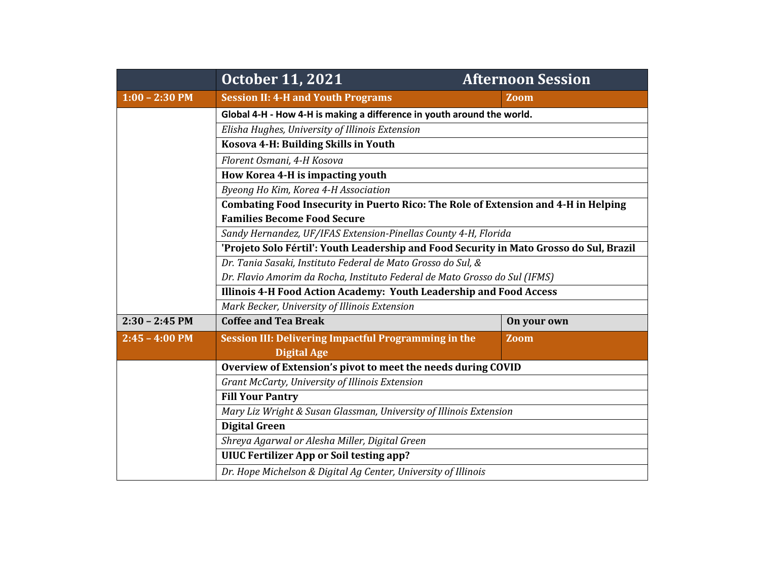|                  | <b>October 11, 2021</b>                                                                                                                                                                                                                                                                                                                | <b>Afternoon Session</b> |  |  |  |
|------------------|----------------------------------------------------------------------------------------------------------------------------------------------------------------------------------------------------------------------------------------------------------------------------------------------------------------------------------------|--------------------------|--|--|--|
| $1:00 - 2:30$ PM | <b>Session II: 4-H and Youth Programs</b>                                                                                                                                                                                                                                                                                              | Zoom                     |  |  |  |
|                  | Global 4-H - How 4-H is making a difference in youth around the world.                                                                                                                                                                                                                                                                 |                          |  |  |  |
|                  | Elisha Hughes, University of Illinois Extension<br>Kosova 4-H: Building Skills in Youth<br>Florent Osmani, 4-H Kosova<br>How Korea 4-H is impacting youth<br>Byeong Ho Kim, Korea 4-H Association<br>Combating Food Insecurity in Puerto Rico: The Role of Extension and 4-H in Helping                                                |                          |  |  |  |
|                  |                                                                                                                                                                                                                                                                                                                                        |                          |  |  |  |
|                  |                                                                                                                                                                                                                                                                                                                                        |                          |  |  |  |
|                  |                                                                                                                                                                                                                                                                                                                                        |                          |  |  |  |
|                  |                                                                                                                                                                                                                                                                                                                                        |                          |  |  |  |
|                  |                                                                                                                                                                                                                                                                                                                                        |                          |  |  |  |
|                  | <b>Families Become Food Secure</b>                                                                                                                                                                                                                                                                                                     |                          |  |  |  |
|                  | Sandy Hernandez, UF/IFAS Extension-Pinellas County 4-H, Florida                                                                                                                                                                                                                                                                        |                          |  |  |  |
|                  | 'Projeto Solo Fértil': Youth Leadership and Food Security in Mato Grosso do Sul, Brazil                                                                                                                                                                                                                                                |                          |  |  |  |
|                  | Dr. Tania Sasaki, Instituto Federal de Mato Grosso do Sul, &                                                                                                                                                                                                                                                                           |                          |  |  |  |
|                  | Dr. Flavio Amorim da Rocha, Instituto Federal de Mato Grosso do Sul (IFMS)                                                                                                                                                                                                                                                             |                          |  |  |  |
|                  | Illinois 4-H Food Action Academy: Youth Leadership and Food Access                                                                                                                                                                                                                                                                     |                          |  |  |  |
|                  | Mark Becker, University of Illinois Extension                                                                                                                                                                                                                                                                                          |                          |  |  |  |
| $2:30 - 2:45$ PM | <b>Coffee and Tea Break</b>                                                                                                                                                                                                                                                                                                            | On your own              |  |  |  |
| $2:45 - 4:00$ PM | <b>Session III: Delivering Impactful Programming in the</b>                                                                                                                                                                                                                                                                            | <b>Zoom</b>              |  |  |  |
|                  | <b>Digital Age</b>                                                                                                                                                                                                                                                                                                                     |                          |  |  |  |
|                  | Overview of Extension's pivot to meet the needs during COVID<br>Grant McCarty, University of Illinois Extension<br><b>Fill Your Pantry</b><br>Mary Liz Wright & Susan Glassman, University of Illinois Extension<br><b>Digital Green</b><br>Shreya Agarwal or Alesha Miller, Digital Green<br>UIUC Fertilizer App or Soil testing app? |                          |  |  |  |
|                  |                                                                                                                                                                                                                                                                                                                                        |                          |  |  |  |
|                  |                                                                                                                                                                                                                                                                                                                                        |                          |  |  |  |
|                  |                                                                                                                                                                                                                                                                                                                                        |                          |  |  |  |
|                  |                                                                                                                                                                                                                                                                                                                                        |                          |  |  |  |
|                  |                                                                                                                                                                                                                                                                                                                                        |                          |  |  |  |
|                  |                                                                                                                                                                                                                                                                                                                                        |                          |  |  |  |
|                  | Dr. Hope Michelson & Digital Ag Center, University of Illinois                                                                                                                                                                                                                                                                         |                          |  |  |  |